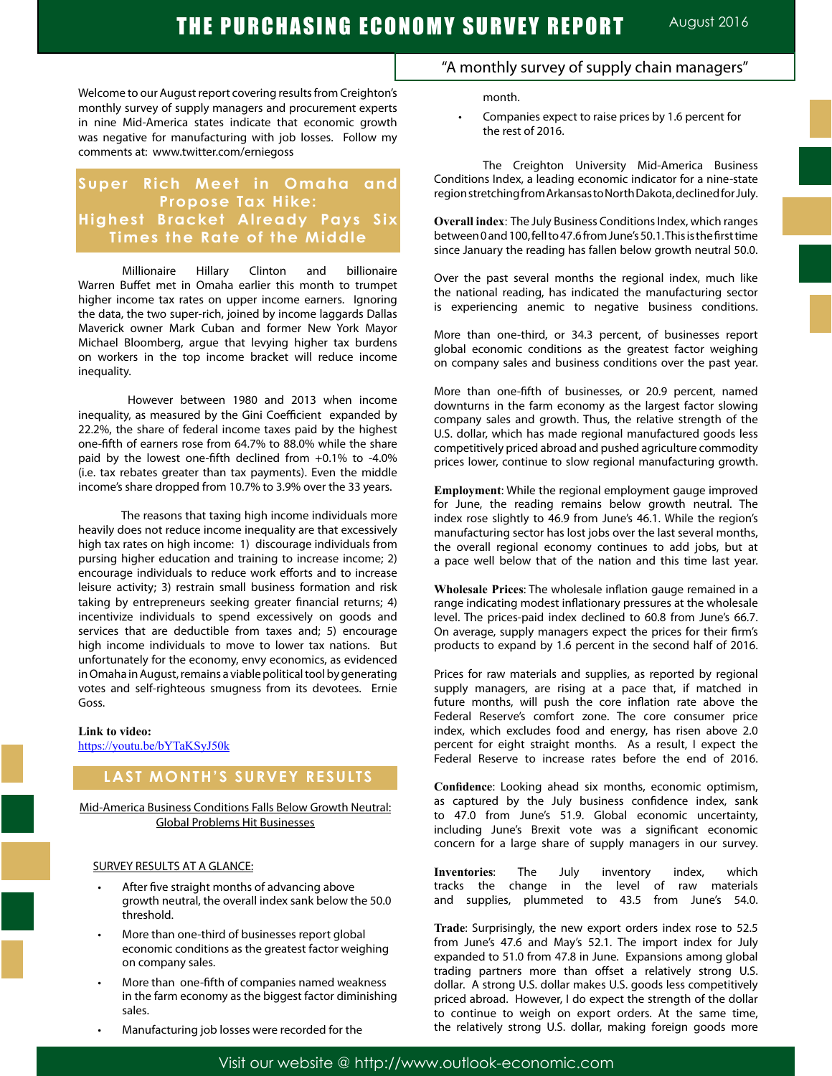Welcome to our August report covering results from Creighton's monthly survey of supply managers and procurement experts in nine Mid-America states indicate that economic growth was negative for manufacturing with job losses. Follow my comments at: www.twitter.com/erniegoss

## **Super Rich Meet in Omaha and Propose Tax Hike: Highest Bracket Already Pays Six Times the Rate of the Middle**

Millionaire Hillary Clinton and billionaire Warren Buffet met in Omaha earlier this month to trumpet higher income tax rates on upper income earners. Ignoring the data, the two super-rich, joined by income laggards Dallas Maverick owner Mark Cuban and former New York Mayor Michael Bloomberg, argue that levying higher tax burdens on workers in the top income bracket will reduce income inequality.

 However between 1980 and 2013 when income inequality, as measured by the Gini Coefficient expanded by 22.2%, the share of federal income taxes paid by the highest one-fifth of earners rose from 64.7% to 88.0% while the share paid by the lowest one-fifth declined from +0.1% to -4.0% (i.e. tax rebates greater than tax payments). Even the middle income's share dropped from 10.7% to 3.9% over the 33 years.

 The reasons that taxing high income individuals more heavily does not reduce income inequality are that excessively high tax rates on high income: 1) discourage individuals from pursing higher education and training to increase income; 2) encourage individuals to reduce work efforts and to increase leisure activity; 3) restrain small business formation and risk taking by entrepreneurs seeking greater financial returns; 4) incentivize individuals to spend excessively on goods and services that are deductible from taxes and; 5) encourage high income individuals to move to lower tax nations. But unfortunately for the economy, envy economics, as evidenced in Omaha in August, remains a viable political tool by generating votes and self-righteous smugness from its devotees. Ernie Goss.

#### **Link to video:**

https://youtu.be/bYTaKSyJ50k

## **LAST MONTH'S SURVEY RESULTS**

Mid-America Business Conditions Falls Below Growth Neutral: Global Problems Hit Businesses

#### SURVEY RESULTS AT A GLANCE:

- After five straight months of advancing above growth neutral, the overall index sank below the 50.0 threshold.
- More than one-third of businesses report global economic conditions as the greatest factor weighing on company sales.
- More than one-fifth of companies named weakness in the farm economy as the biggest factor diminishing sales.
- Manufacturing job losses were recorded for the

### "A monthly survey of supply chain managers"

month.

Companies expect to raise prices by 1.6 percent for the rest of 2016.

The Creighton University Mid-America Business Conditions Index, a leading economic indicator for a nine-state region stretching from Arkansas to North Dakota, declined for July.

**Overall index**: The July Business Conditions Index, which ranges between 0 and 100, fell to 47.6 from June's 50.1. This is the first time since January the reading has fallen below growth neutral 50.0.

Over the past several months the regional index, much like the national reading, has indicated the manufacturing sector is experiencing anemic to negative business conditions.

More than one-third, or 34.3 percent, of businesses report global economic conditions as the greatest factor weighing on company sales and business conditions over the past year.

More than one-fifth of businesses, or 20.9 percent, named downturns in the farm economy as the largest factor slowing company sales and growth. Thus, the relative strength of the U.S. dollar, which has made regional manufactured goods less competitively priced abroad and pushed agriculture commodity prices lower, continue to slow regional manufacturing growth.

**Employment**: While the regional employment gauge improved for June, the reading remains below growth neutral. The index rose slightly to 46.9 from June's 46.1. While the region's manufacturing sector has lost jobs over the last several months, the overall regional economy continues to add jobs, but at a pace well below that of the nation and this time last year.

**Wholesale Prices**: The wholesale inflation gauge remained in a range indicating modest inflationary pressures at the wholesale level. The prices-paid index declined to 60.8 from June's 66.7. On average, supply managers expect the prices for their firm's products to expand by 1.6 percent in the second half of 2016.

Prices for raw materials and supplies, as reported by regional supply managers, are rising at a pace that, if matched in future months, will push the core inflation rate above the Federal Reserve's comfort zone. The core consumer price index, which excludes food and energy, has risen above 2.0 percent for eight straight months. As a result, I expect the Federal Reserve to increase rates before the end of 2016.

**Confidence**: Looking ahead six months, economic optimism, as captured by the July business confidence index, sank to 47.0 from June's 51.9. Global economic uncertainty, including June's Brexit vote was a significant economic concern for a large share of supply managers in our survey.

**Inventories**: The July inventory index, which tracks the change in the level of raw materials and supplies, plummeted to 43.5 from June's 54.0.

**Trade**: Surprisingly, the new export orders index rose to 52.5 from June's 47.6 and May's 52.1. The import index for July expanded to 51.0 from 47.8 in June. Expansions among global trading partners more than offset a relatively strong U.S. dollar. A strong U.S. dollar makes U.S. goods less competitively priced abroad. However, I do expect the strength of the dollar to continue to weigh on export orders. At the same time, the relatively strong U.S. dollar, making foreign goods more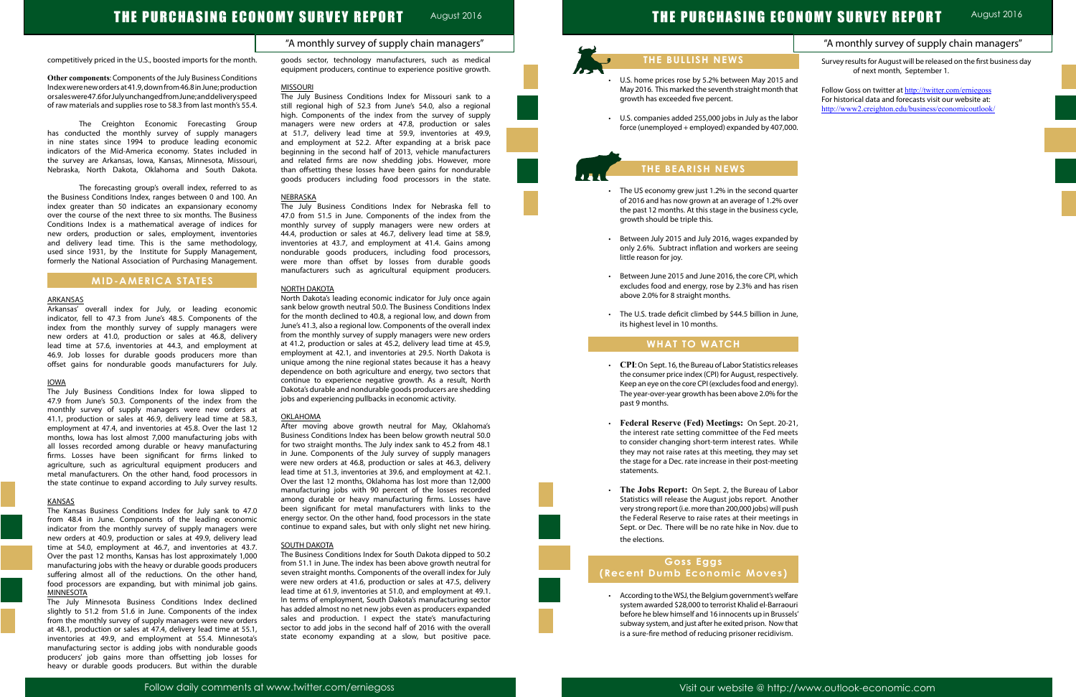## THE PURCHASING ECONOMY SURVEY REPORT August 2016

## THE PURCHASING ECONOMY SURVEY REPORT

|            | "A monthly survey of supply chain managers"                                                         |
|------------|-----------------------------------------------------------------------------------------------------|
|            | Survey results for August will be released on the first business day<br>of next month, September 1. |
| nd         |                                                                                                     |
| ıat        | Follow Goss on twitter at http://twitter.com/erniegoss                                              |
|            | For historical data and forecasts visit our website at:                                             |
|            | http://www2.creighton.edu/business/economicoutlook/                                                 |
| ١or        |                                                                                                     |
| 00.        |                                                                                                     |
|            |                                                                                                     |
|            |                                                                                                     |
|            |                                                                                                     |
|            |                                                                                                     |
|            |                                                                                                     |
|            |                                                                                                     |
| ter        |                                                                                                     |
| er/        |                                                                                                     |
| le,        |                                                                                                     |
|            |                                                                                                     |
|            |                                                                                                     |
| by         |                                                                                                     |
| ng         |                                                                                                     |
|            |                                                                                                     |
| ch         |                                                                                                     |
| en         |                                                                                                     |
|            |                                                                                                     |
|            |                                                                                                     |
| ٦e,        |                                                                                                     |
|            |                                                                                                     |
|            |                                                                                                     |
|            |                                                                                                     |
|            |                                                                                                     |
|            |                                                                                                     |
| es         |                                                                                                     |
| ly.        |                                                                                                     |
| y).        |                                                                                                     |
| he         |                                                                                                     |
|            |                                                                                                     |
|            |                                                                                                     |
| 21,        |                                                                                                     |
| ets<br>ile |                                                                                                     |
| set        |                                                                                                     |
|            |                                                                                                     |
| ng         |                                                                                                     |
|            |                                                                                                     |
| ١or        |                                                                                                     |
| er         |                                                                                                     |
| ısh        |                                                                                                     |
| in         |                                                                                                     |
| to         |                                                                                                     |
|            |                                                                                                     |
|            |                                                                                                     |
|            |                                                                                                     |
|            |                                                                                                     |
|            |                                                                                                     |
|            |                                                                                                     |
| are        |                                                                                                     |
| uri        |                                                                                                     |
| els'       |                                                                                                     |
| ıat        |                                                                                                     |
| ı.         |                                                                                                     |
|            |                                                                                                     |

# "A monthly survey of supply chain managers"

August 2016

competitively priced in the U.S., boosted imports for the month.

**Other components**: Components of the July Business Conditions Index were new orders at 41.9, down from 46.8 in June; production or sales were 47.6 for July unchanged from June; and delivery speed of raw materials and supplies rose to 58.3 from last month's 55.4.

The Creighton Economic Forecasting Group has conducted the monthly survey of supply managers in nine states since 1994 to produce leading economic indicators of the Mid-America economy. States included in the survey are Arkansas, Iowa, Kansas, Minnesota, Missouri, Nebraska, North Dakota, Oklahoma and South Dakota.

The forecasting group's overall index, referred to as the Business Conditions Index, ranges between 0 and 100. An index greater than 50 indicates an expansionary economy over the course of the next three to six months. The Business Conditions Index is a mathematical average of indices for new orders, production or sales, employment, inventories and delivery lead time. This is the same methodology, used since 1931, by the Institute for Supply Management, formerly the National Association of Purchasing Management.

## **MID-AMERICA STATES**

#### ARKANSAS

Arkansas' overall index for July, or leading economic indicator, fell to 47.3 from June's 48.5. Components of the index from the monthly survey of supply managers were new orders at 41.0, production or sales at 46.8, delivery lead time at 57.6, inventories at 44.3, and employment at 46.9. Job losses for durable goods producers more than offset gains for nondurable goods manufacturers for July.

#### IOWA

The July Business Conditions Index for Iowa slipped to 47.9 from June's 50.3. Components of the index from the monthly survey of supply managers were new orders at 41.1, production or sales at 46.9, delivery lead time at 58.3, employment at 47.4, and inventories at 45.8. Over the last 12 months, Iowa has lost almost 7,000 manufacturing jobs with all losses recorded among durable or heavy manufacturing firms. Losses have been significant for firms linked to agriculture, such as agricultural equipment producers and metal manufacturers. On the other hand, food processors in the state continue to expand according to July survey results.

#### KANSAS

The Kansas Business Conditions Index for July sank to 47.0 from 48.4 in June. Components of the leading economic indicator from the monthly survey of supply managers were new orders at 40.9, production or sales at 49.9, delivery lead time at 54.0, employment at 46.7, and inventories at 43.7. Over the past 12 months, Kansas has lost approximately 1,000 manufacturing jobs with the heavy or durable goods producers suffering almost all of the reductions. On the other hand, food processors are expanding, but with minimal job gains. MINNESOTA

The July Minnesota Business Conditions Index declined slightly to 51.2 from 51.6 in June. Components of the index from the monthly survey of supply managers were new orders at 48.1, production or sales at 47.4, delivery lead time at 55.1, inventories at 49.9, and employment at 55.4. Minnesota's manufacturing sector is adding jobs with nondurable goods producers' job gains more than offsetting job losses for heavy or durable goods producers. But within the durable goods sector, technology manufacturers, such as medical equipment producers, continue to experience positive growth.

#### MISSOURI

- The US economy grew just 1.2% in the second quart of 2016 and has now grown at an average of 1.2% ov the past 12 months. At this stage in the business cycl growth should be triple this.
- Between July 2015 and July 2016, wages expanded only 2.6%. Subtract inflation and workers are seeing little reason for joy.
- Between June 2015 and June 2016, the core CPI, which excludes food and energy, rose by 2.3% and has rise above 2.0% for 8 straight months.
- The U.S. trade deficit climbed by \$44.5 billion in Jur its highest level in 10 months.

The July Business Conditions Index for Missouri sank to a still regional high of 52.3 from June's 54.0, also a regional high. Components of the index from the survey of supply managers were new orders at 47.8, production or sales at 51.7, delivery lead time at 59.9, inventories at 49.9, and employment at 52.2. After expanding at a brisk pace beginning in the second half of 2013, vehicle manufacturers and related firms are now shedding jobs. However, more than offsetting these losses have been gains for nondurable goods producers including food processors in the state.

#### NEBRASKA

- CPI: On Sept. 16, the Bureau of Labor Statistics releas the consumer price index (CPI) for August, respectivel Keep an eye on the core CPI (excludes food and energy). The year-over-year growth has been above 2.0% for the past 9 months.
- • **Federal Reserve (Fed) Meetings:** On Sept. 20-21, the interest rate setting committee of the Fed meets to consider changing short-term interest rates. While they may not raise rates at this meeting, they may s the stage for a Dec. rate increase in their post-meeting statements.
- • **The Jobs Report:** On Sept. 2, the Bureau of Labor Statistics will release the August jobs report. Anoth very strong report (i.e. more than 200,000 jobs) will pu the Federal Reserve to raise rates at their meetings Sept. or Dec. There will be no rate hike in Nov. due the elections.

The July Business Conditions Index for Nebraska fell to 47.0 from 51.5 in June. Components of the index from the monthly survey of supply managers were new orders at 44.4, production or sales at 46.7, delivery lead time at 58.9, inventories at 43.7, and employment at 41.4. Gains among nondurable goods producers, including food processors, were more than offset by losses from durable goods manufacturers such as agricultural equipment producers.

#### NORTH DAKOTA

North Dakota's leading economic indicator for July once again sank below growth neutral 50.0. The Business Conditions Index for the month declined to 40.8, a regional low, and down from June's 41.3, also a regional low. Components of the overall index from the monthly survey of supply managers were new orders at 41.2, production or sales at 45.2, delivery lead time at 45.9, employment at 42.1, and inventories at 29.5. North Dakota is unique among the nine regional states because it has a heavy dependence on both agriculture and energy, two sectors that continue to experience negative growth. As a result, North Dakota's durable and nondurable goods producers are shedding jobs and experiencing pullbacks in economic activity.

#### **OKLAHOMA**

After moving above growth neutral for May, Oklahoma's Business Conditions Index has been below growth neutral 50.0 for two straight months. The July index sank to 45.2 from 48.1 in June. Components of the July survey of supply managers were new orders at 46.8, production or sales at 46.3, delivery lead time at 51.3, inventories at 39.6, and employment at 42.1. Over the last 12 months, Oklahoma has lost more than 12,000 manufacturing jobs with 90 percent of the losses recorded among durable or heavy manufacturing firms. Losses have been significant for metal manufacturers with links to the energy sector. On the other hand, food processors in the state continue to expand sales, but with only slight net new hiring.

#### **SOUTH DAKOTA**

The Business Conditions Index for South Dakota dipped to 50.2 from 51.1 in June. The index has been above growth neutral for seven straight months. Components of the overall index for July were new orders at 41.6, production or sales at 47.5, delivery lead time at 61.9, inventories at 51.0, and employment at 49.1. In terms of employment, South Dakota's manufacturing sector has added almost no net new jobs even as producers expanded sales and production. I expect the state's manufacturing sector to add jobs in the second half of 2016 with the overall state economy expanding at a slow, but positive pace.



l

Ĩ

## **THE BULLISH NEWS**

- U.S. home prices rose by 5.2% between May 2015 and May 2016. This marked the seventh straight month that growth has exceeded five percent.
- U.S. companies added 255,000 jobs in July as the labor force (unemployed + employed) expanded by  $407,00$

## **THE BEARISH NEWS**

## **WHAT TO WATCH**

## **Goss Eggs (Recent Dumb Economic Moves)**

• According to the WSJ, the Belgium government's welfa system awarded \$28,000 to terrorist Khalid el-Barraou before he blew himself and 16 innocents up in Brusse subway system, and just after he exited prison. Now th is a sure-fire method of reducing prisoner recidivism